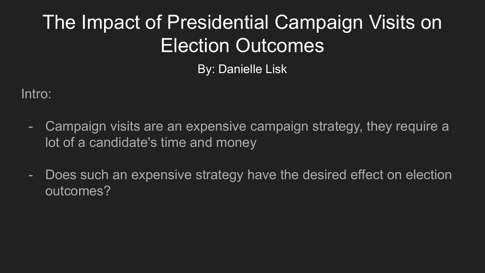# The Impact of Presidential Campaign Visits on Election Outcomes

By: Danielle Lisk

Intro:

- Campaign visits are an expensive campaign strategy, they require a lot of a candidate's time and money
- Does such an expensive strategy have the desired effect on election outcomes?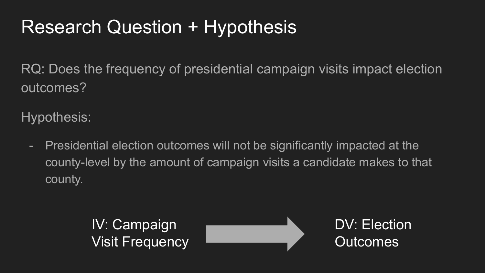### Research Question + Hypothesis

RQ: Does the frequency of presidential campaign visits impact election outcomes?

Hypothesis:

- Presidential election outcomes will not be significantly impacted at the county-level by the amount of campaign visits a candidate makes to that county.

> IV: Campaign Visit Frequency



DV: Election **Outcomes**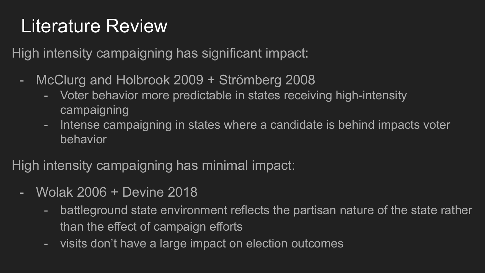### Literature Review

High intensity campaigning has significant impact:

- McClurg and Holbrook 2009 + Strömberg 2008
	- Voter behavior more predictable in states receiving high-intensity campaigning
	- Intense campaigning in states where a candidate is behind impacts voter behavior

High intensity campaigning has minimal impact:

- Wolak 2006 + Devine 2018
	- battleground state environment reflects the partisan nature of the state rather than the effect of campaign efforts
	- visits don't have a large impact on election outcomes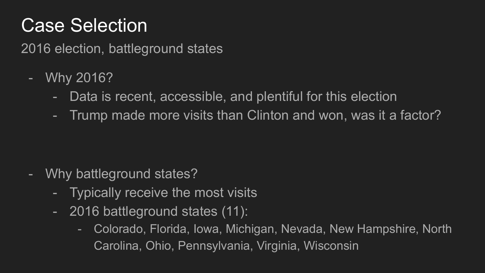#### Case Selection

2016 election, battleground states

- Why 2016?
	- Data is recent, accessible, and plentiful for this election
	- Trump made more visits than Clinton and won, was it a factor?

- Why battleground states?
	- Typically receive the most visits
	- 2016 battleground states (11):
		- Colorado, Florida, Iowa, Michigan, Nevada, New Hampshire, North Carolina, Ohio, Pennsylvania, Virginia, Wisconsin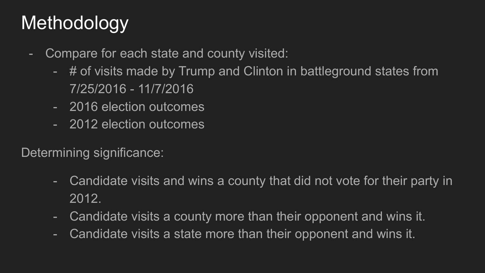### Methodology

- Compare for each state and county visited:
	- # of visits made by Trump and Clinton in battleground states from 7/25/2016 - 11/7/2016
	- 2016 election outcomes
	- 2012 election outcomes

Determining significance:

- Candidate visits and wins a county that did not vote for their party in 2012.
- Candidate visits a county more than their opponent and wins it.
- Candidate visits a state more than their opponent and wins it.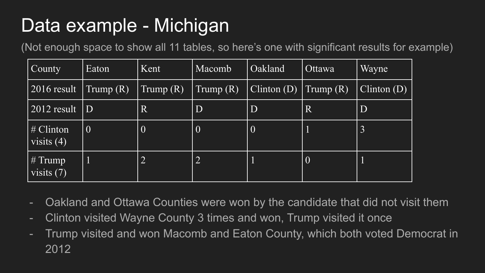### Data example - Michigan

(Not enough space to show all 11 tables, so here's one with significant results for example)

| County                    | Eaton              | Kent           | Macomb                                  | <b>Oakland</b>               | Ottawa                  | Wayne          |
|---------------------------|--------------------|----------------|-----------------------------------------|------------------------------|-------------------------|----------------|
| 2016 result               | $\Gamma$ Trump (R) | Trump(R)       | $\mathrm{Trump}\left(\mathrm{R}\right)$ | $\text{Clinton}(\mathbf{D})$ | $\prod$ Trump $(R)$     | Clinton (D)    |
| 2012 result               | D                  | $\vert$ R      | D                                       | $\overline{D}$               | $\overline{\mathsf{R}}$ | D              |
| # Clinton<br>visits $(4)$ | $\overline{0}$     | $\overline{0}$ | $\mid 0$                                | $\mid 0 \mid$                |                         | $\overline{3}$ |
| $#$ Trump<br>visits $(7)$ |                    | $\overline{2}$ | $\overline{2}$                          |                              | $\mid 0$                |                |

- Oakland and Ottawa Counties were won by the candidate that did not visit them
- Clinton visited Wayne County 3 times and won, Trump visited it once
- Trump visited and won Macomb and Eaton County, which both voted Democrat in 2012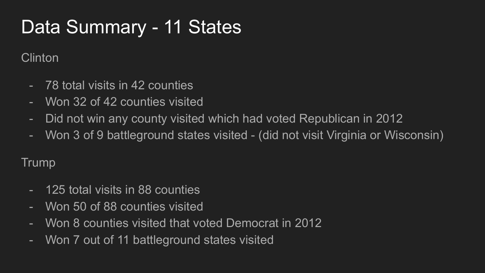## Data Summary - 11 States

Clinton

- 78 total visits in 42 counties
- Won 32 of 42 counties visited
- Did not win any county visited which had voted Republican in 2012
- Won 3 of 9 battleground states visited (did not visit Virginia or Wisconsin)

Trump

- 125 total visits in 88 counties
- Won 50 of 88 counties visited
- Won 8 counties visited that voted Democrat in 2012
- Won 7 out of 11 battleground states visited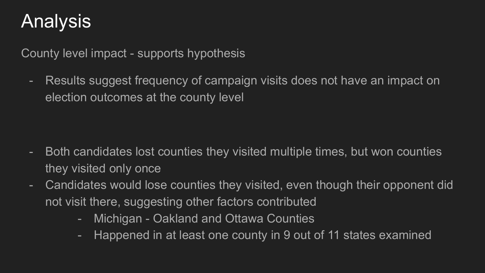### Analysis

County level impact - supports hypothesis

- Results suggest frequency of campaign visits does not have an impact on election outcomes at the county level

- Both candidates lost counties they visited multiple times, but won counties they visited only once
- Candidates would lose counties they visited, even though their opponent did not visit there, suggesting other factors contributed
	- Michigan Oakland and Ottawa Counties
	- Happened in at least one county in 9 out of 11 states examined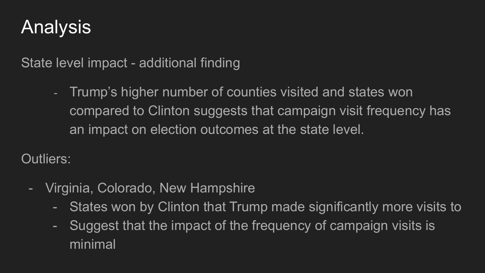### Analysis

State level impact - additional finding

- Trump's higher number of counties visited and states won compared to Clinton suggests that campaign visit frequency has an impact on election outcomes at the state level.

Outliers:

- Virginia, Colorado, New Hampshire
	- States won by Clinton that Trump made significantly more visits to
	- Suggest that the impact of the frequency of campaign visits is minimal